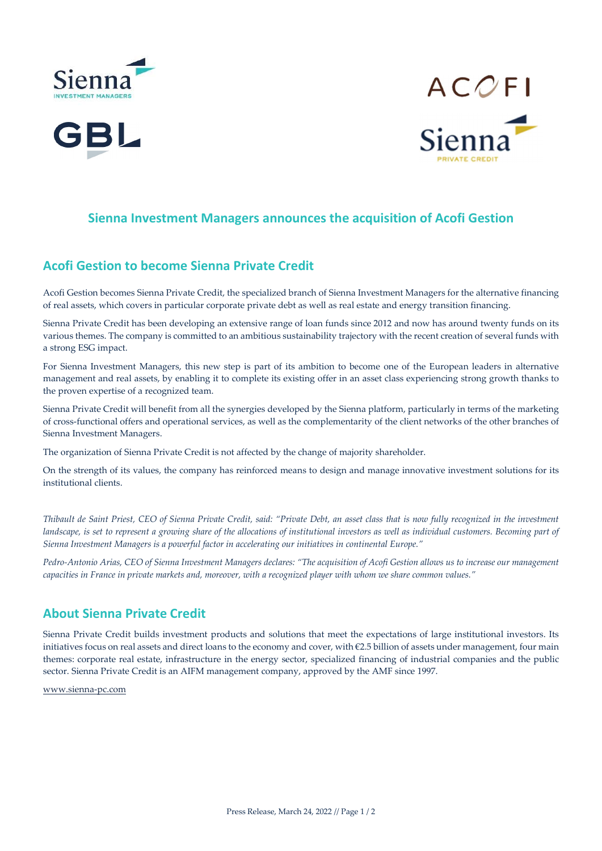





### Sienna Investment Managers announces the acquisition of Acofi Gestion

### Acofi Gestion to become Sienna Private Credit

Acofi Gestion becomes Sienna Private Credit, the specialized branch of Sienna Investment Managers for the alternative financing of real assets, which covers in particular corporate private debt as well as real estate and energy transition financing.

Sienna Private Credit has been developing an extensive range of loan funds since 2012 and now has around twenty funds on its various themes. The company is committed to an ambitious sustainability trajectory with the recent creation of several funds with a strong ESG impact.

For Sienna Investment Managers, this new step is part of its ambition to become one of the European leaders in alternative management and real assets, by enabling it to complete its existing offer in an asset class experiencing strong growth thanks to the proven expertise of a recognized team.

Sienna Private Credit will benefit from all the synergies developed by the Sienna platform, particularly in terms of the marketing of cross-functional offers and operational services, as well as the complementarity of the client networks of the other branches of Sienna Investment Managers.

The organization of Sienna Private Credit is not affected by the change of majority shareholder.

On the strength of its values, the company has reinforced means to design and manage innovative investment solutions for its institutional clients.

Thibault de Saint Priest, CEO of Sienna Private Credit, said: "Private Debt, an asset class that is now fully recognized in the investment landscape, is set to represent a growing share of the allocations of institutional investors as well as individual customers. Becoming part of Sienna Investment Managers is a powerful factor in accelerating our initiatives in continental Europe."

Pedro-Antonio Arias, CEO of Sienna Investment Managers declares: "The acquisition of Acofi Gestion allows us to increase our management capacities in France in private markets and, moreover, with a recognized player with whom we share common values."

# About Sienna Private Credit

Sienna Private Credit builds investment products and solutions that meet the expectations of large institutional investors. Its initiatives focus on real assets and direct loans to the economy and cover, with €2.5 billion of assets under management, four main themes: corporate real estate, infrastructure in the energy sector, specialized financing of industrial companies and the public sector. Sienna Private Credit is an AIFM management company, approved by the AMF since 1997.

www.sienna-pc.com